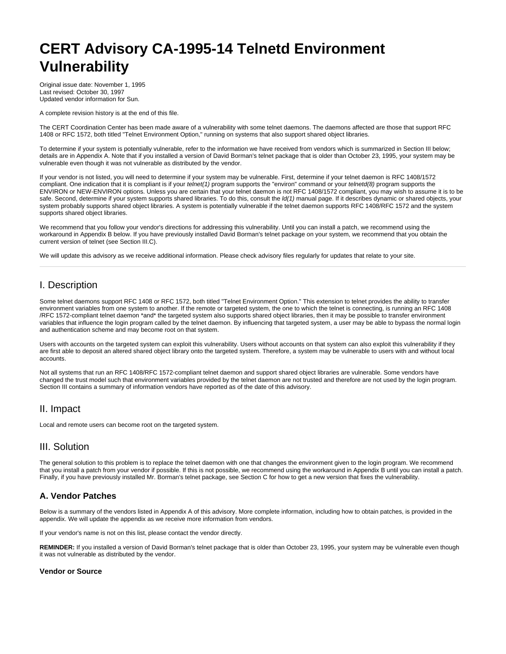# **CERT Advisory CA-1995-14 Telnetd Environment Vulnerability**

Original issue date: November 1, 1995 Last revised: October 30, 1997 Updated vendor information for Sun.

A complete revision history is at the end of this file.

The CERT Coordination Center has been made aware of a vulnerability with some telnet daemons. The daemons affected are those that support RFC 1408 or RFC 1572, both titled "Telnet Environment Option," running on systems that also support shared object libraries.

To determine if your system is potentially vulnerable, refer to the information we have received from vendors which is summarized in Section III below; details are in Appendix A. Note that if you installed a version of David Borman's telnet package that is older than October 23, 1995, your system may be vulnerable even though it was not vulnerable as distributed by the vendor.

If your vendor is not listed, you will need to determine if your system may be vulnerable. First, determine if your telnet daemon is RFC 1408/1572 compliant. One indication that it is compliant is if your telnet(1) program supports the "environ" command or your telnetd(8) program supports the ENVIRON or NEW-ENVIRON options. Unless you are certain that your telnet daemon is not RFC 1408/1572 compliant, you may wish to assume it is to be safe. Second, determine if your system supports shared libraries. To do this, consult the  $\frac{Id}{1}$  manual page. If it describes dynamic or shared objects, your system probably supports shared object libraries. A system is potentially vulnerable if the telnet daemon supports RFC 1408/RFC 1572 and the system supports shared object libraries.

We recommend that you follow your vendor's directions for addressing this vulnerability. Until you can install a patch, we recommend using the workaround in Appendix B below. If you have previously installed David Borman's telnet package on your system, we recommend that you obtain the current version of telnet (see Section III.C).

We will update this advisory as we receive additional information. Please check advisory files regularly for updates that relate to your site.

# I. Description

Some telnet daemons support RFC 1408 or RFC 1572, both titled "Telnet Environment Option." This extension to telnet provides the ability to transfer environment variables from one system to another. If the remote or targeted system, the one to which the telnet is connecting, is running an RFC 1408 /RFC 1572-compliant telnet daemon \*and\* the targeted system also supports shared object libraries, then it may be possible to transfer environment variables that influence the login program called by the telnet daemon. By influencing that targeted system, a user may be able to bypass the normal login and authentication scheme and may become root on that system.

Users with accounts on the targeted system can exploit this vulnerability. Users without accounts on that system can also exploit this vulnerability if they are first able to deposit an altered shared object library onto the targeted system. Therefore, a system may be vulnerable to users with and without local accounts.

Not all systems that run an RFC 1408/RFC 1572-compliant telnet daemon and support shared object libraries are vulnerable. Some vendors have changed the trust model such that environment variables provided by the telnet daemon are not trusted and therefore are not used by the login program. Section III contains a summary of information vendors have reported as of the date of this advisory.

## II. Impact

Local and remote users can become root on the targeted system.

# III. Solution

The general solution to this problem is to replace the telnet daemon with one that changes the environment given to the login program. We recommend that you install a patch from your vendor if possible. If this is not possible, we recommend using the workaround in Appendix B until you can install a patch. Finally, if you have previously installed Mr. Borman's telnet package, see Section C for how to get a new version that fixes the vulnerability.

## **A. Vendor Patches**

Below is a summary of the vendors listed in Appendix A of this advisory. More complete information, including how to obtain patches, is provided in the appendix. We will update the appendix as we receive more information from vendors.

If your vendor's name is not on this list, please contact the vendor directly.

**REMINDER:** If you installed a version of David Borman's telnet package that is older than October 23, 1995, your system may be vulnerable even though it was not vulnerable as distributed by the vendor.

#### **Vendor or Source**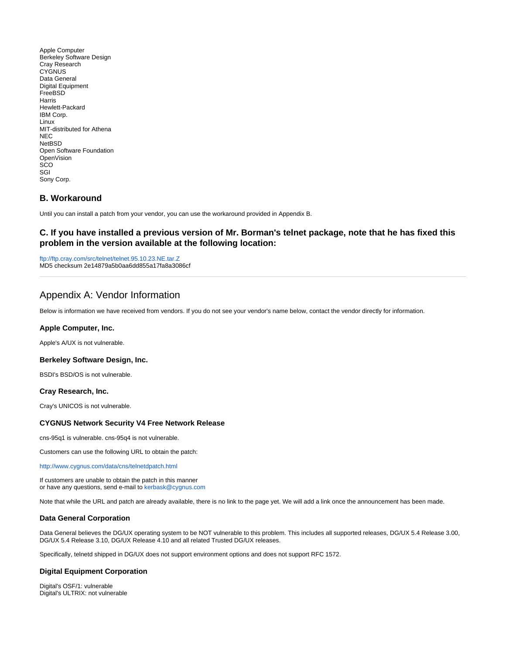Apple Computer Berkeley Software Design Cray Research **CYGNUS** Data General Digital Equipment FreeBSD Harris Hewlett-Packard IBM Corp. Linux MIT-distributed for Athena NEC **NetBSD** Open Software Foundation OpenVision SCO SGI Sony Corp.

## **B. Workaround**

Until you can install a patch from your vendor, you can use the workaround provided in Appendix B.

## **C. If you have installed a previous version of Mr. Borman's telnet package, note that he has fixed this problem in the version available at the following location:**

<ftp://ftp.cray.com/src/telnet/telnet.95.10.23.NE.tar.Z> MD5 checksum 2e14879a5b0aa6dd855a17fa8a3086cf

# Appendix A: Vendor Information

Below is information we have received from vendors. If you do not see your vendor's name below, contact the vendor directly for information.

#### **Apple Computer, Inc.**

Apple's A/UX is not vulnerable.

#### **Berkeley Software Design, Inc.**

BSDI's BSD/OS is not vulnerable.

#### **Cray Research, Inc.**

Cray's UNICOS is not vulnerable.

#### **CYGNUS Network Security V4 Free Network Release**

cns-95q1 is vulnerable. cns-95q4 is not vulnerable.

Customers can use the following URL to obtain the patch:

<http://www.cygnus.com/data/cns/telnetdpatch.html>

If customers are unable to obtain the patch in this manner or have any questions, send e-mail to [kerbask@cygnus.com](mailto:kerbask@cygnus.com)

Note that while the URL and patch are already available, there is no link to the page yet. We will add a link once the announcement has been made.

#### **Data General Corporation**

Data General believes the DG/UX operating system to be NOT vulnerable to this problem. This includes all supported releases, DG/UX 5.4 Release 3.00, DG/UX 5.4 Release 3.10, DG/UX Release 4.10 and all related Trusted DG/UX releases.

Specifically, telnetd shipped in DG/UX does not support environment options and does not support RFC 1572.

#### **Digital Equipment Corporation**

Digital's OSF/1: vulnerable Digital's ULTRIX: not vulnerable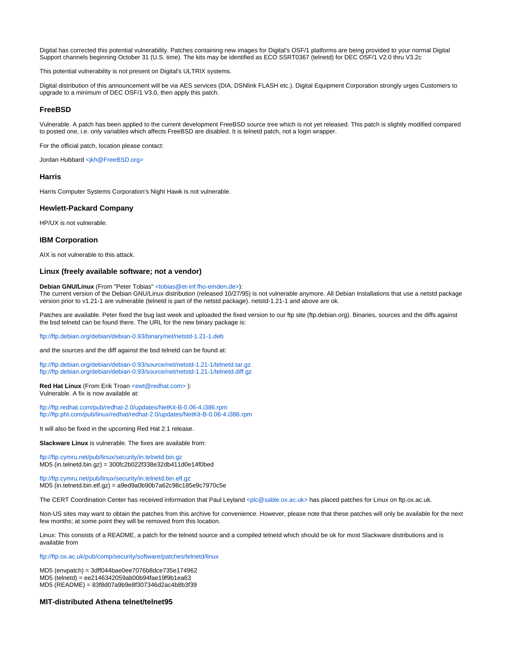Digital has corrected this potential vulnerability. Patches containing new images for Digital's OSF/1 platforms are being provided to your normal Digital Support channels beginning October 31 (U.S. time). The kits may be identified as ECO SSRT0367 (telnetd) for DEC OSF/1 V2.0 thru V3.2c

This potential vulnerability is not present on Digital's ULTRIX systems.

Digital distribution of this announcement will be via AES services (DIA, DSNlink FLASH etc.). Digital Equipment Corporation strongly urges Customers to upgrade to a minimum of DEC OSF/1 V3.0, then apply this patch.

#### **FreeBSD**

Vulnerable. A patch has been applied to the current development FreeBSD source tree which is not yet released. This patch is slightly modified compared to posted one, i.e. only variables which affects FreeBSD are disabled. It is telnetd patch, not a login wrapper.

For the official patch, location please contact:

Jordan Hubbard [<jkh@FreeBSD.org>](mailto:jkh@FreeBSD.org)

#### **Harris**

Harris Computer Systems Corporation's Night Hawk is not vulnerable.

#### **Hewlett-Packard Company**

HP/UX is not vulnerable.

#### **IBM Corporation**

AIX is not vulnerable to this attack.

#### **Linux (freely available software; not a vendor)**

#### **Debian GNU/Linux** (From "Peter Tobias" [<tobias@et-inf.fho-emden.de>](mailto:tobias@et-inf.fho-emden.de)):

The current version of the Debian GNU/Linux distribution (released 10/27/95) is not vulnerable anymore. All Debian Installations that use a netstd package version prior to v1.21-1 are vulnerable (telnetd is part of the netstd package). netstd-1.21-1 and above are ok.

Patches are available. Peter fixed the bug last week and uploaded the fixed version to our ftp site (ftp.debian.org). Binaries, sources and the diffs against the bsd telnetd can be found there. The URL for the new binary package is:

<ftp://ftp.debian.org/debian/debian-0.93/binary/net/netstd-1.21-1.deb>

and the sources and the diff against the bsd telnetd can be found at:

<ftp://ftp.debian.org/debian/debian-0.93/source/net/netstd-1.21-1/telnetd.tar.gz> <ftp://ftp.debian.org/debian/debian-0.93/source/net/netstd-1.21-1/telnetd.diff.gz>

**Red Hat Linux** (From Erik Troan <ewt@redhat.com>): Vulnerable. A fix is now available at:

<ftp://ftp.redhat.com/pub/redhat-2.0/updates/NetKit-B-0.06-4.i386.rpm> <ftp://ftp.pht.com/pub/linux/redhat/redhat-2.0/updates/NetKit-B-0.06-4.i386.rpm>

It will also be fixed in the upcoming Red Hat 2.1 release.

**Slackware Linux** is vulnerable. The fixes are available from:

<ftp://ftp.cymru.net/pub/linux/security/in.telnetd.bin.gz> MD5 (in.telnetd.bin.gz) = 300fc2b022f338e32db411d0e14f0bed

<ftp://ftp.cymru.net/pub/linux/security/in.telnetd.bin.elf.gz> MD5 (in.telnetd.bin.elf.gz) = a9ed9a0b90b7a62c98c185e9c7970c5e

The CERT Coordination Center has received information that Paul Leyland [<plc@sable.ox.ac.uk>](mailto:plc@sable.ox.ac.uk) has placed patches for Linux on ftp.ox.ac.uk.

Non-US sites may want to obtain the patches from this archive for convenience. However, please note that these patches will only be available for the next few months; at some point they will be removed from this location.

Linux: This consists of a README, a patch for the telnetd source and a compiled telnetd which should be ok for most Slackware distributions and is available from

<ftp://ftp.ox.ac.uk/pub/comp/security/software/patches/telnetd/linux>

MD5 (envpatch) = 3dff044bae0ee7076b8dce735e174962 MD5 (telnetd) = ee2146342059ab00b94fae19f9b1ea63 MD5 (README) = 83f8d07a9b9e8f307346d2ac4b8b3f39

#### **MIT-distributed Athena telnet/telnet95**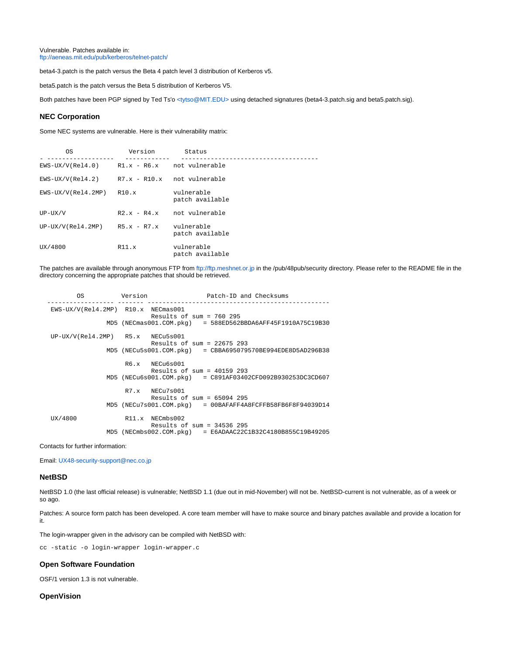Vulnerable. Patches available in: <ftp://aeneas.mit.edu/pub/kerberos/telnet-patch/>

beta4-3.patch is the patch versus the Beta 4 patch level 3 distribution of Kerberos v5.

beta5.patch is the patch versus the Beta 5 distribution of Kerberos V5.

Both patches have been PGP signed by Ted Ts'o [<tytso@MIT.EDU>](mailto:tytso@MIT.EDU) using detached signatures (beta4-3.patch.sig and beta5.patch.sig).

#### **NEC Corporation**

Some NEC systems are vulnerable. Here is their vulnerability matrix:

| 0S                                               | Version                | Status                        |
|--------------------------------------------------|------------------------|-------------------------------|
| $EWS-UX/V(Rel4.0)$ $R1.x - R6.x$ not vulnerable  |                        |                               |
| $EWS-UX/V(Rel4.2)$ $R7.x - R10.x$ not vulnerable |                        |                               |
| EWS-UX/V(Rel4.2MP)                               | R10.x                  | vulnerable<br>patch available |
| $UP-UX/V$                                        | $R2 \times -R4 \times$ | not vulnerable                |
| $UP-UX/V(Rel4.2MP)$ $R5.x - R7.x$                |                        | vulnerable<br>patch available |
| UX/4800                                          | R11.x                  | vulnerable<br>patch available |

The patches are available through anonymous FTP from <ftp://ftp.meshnet.or.jp> in the /pub/48pub/security directory. Please refer to the README file in the directory concerning the appropriate patches that should be retrieved.

| ΟS                                 | Version | Patch-ID and Checksums                                       |
|------------------------------------|---------|--------------------------------------------------------------|
| EWS-UX/V(Rel4.2MP) R10.x NECmas001 |         | Results of sum = $760$ 295                                   |
|                                    |         | $MD5$ (NECmas001.COM.pkg) = 588ED562BBDA6AFF45F1910A75C19B30 |
| $UP-UX/V(Rel4.2MP)$ R5.x NECu5s001 |         | Results of sum = $22675$ 293                                 |
|                                    |         | $MD5$ (NECu5s001.COM.pkg) = CBBA695079570BE994EDE8D5AD296B38 |
|                                    |         | $R6.x$ NECu6s001<br>Results of sum = $40159$ 293             |
|                                    |         | $MD5$ (NECu6s001.COM.pkg) = C891AF03402CFD092B930253DC3CD607 |
|                                    |         | $R7.x$ NECu7s001<br>Results of sum = $65094$ 295             |
|                                    |         | $MD5$ (NECu7s001.COM.pkg) = 00BAFAFF4A8FCFFB58FB6F8F94039D14 |
| UX/4800                            |         | $R11.x$ NECmbs002<br>Results of sum = $34536$ 295            |
|                                    |         | $MD5$ (NECmbs002.COM.pkg) = E6ADAAC22C1B32C4180B855C19B49205 |

Contacts for further information:

Email: [UX48-security-support@nec.co.jp](mailto:UX48-security-support@nec.co.jp)

## **NetBSD**

NetBSD 1.0 (the last official release) is vulnerable; NetBSD 1.1 (due out in mid-November) will not be. NetBSD-current is not vulnerable, as of a week or so ago.

Patches: A source form patch has been developed. A core team member will have to make source and binary patches available and provide a location for it.

The login-wrapper given in the advisory can be compiled with NetBSD with:

cc -static -o login-wrapper login-wrapper.c

#### **Open Software Foundation**

OSF/1 version 1.3 is not vulnerable.

## **OpenVision**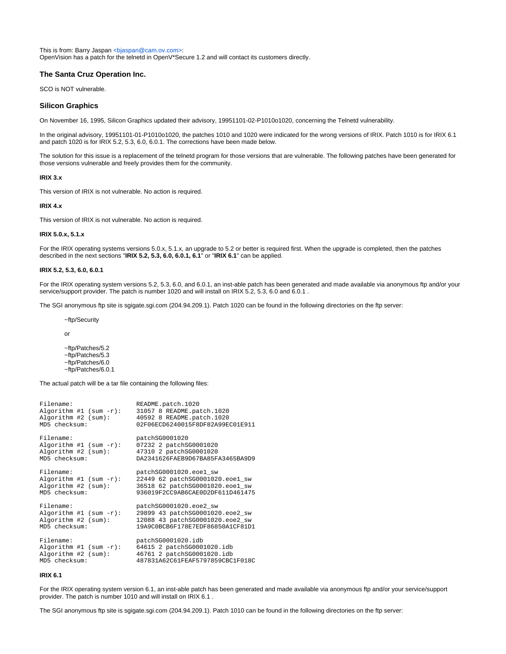This is from: Barry Jaspan <br/> <br/> <br/>Span@cam.ov.com>: OpenVision has a patch for the telnetd in OpenV\*Secure 1.2 and will contact its customers directly.

## **The Santa Cruz Operation Inc.**

SCO is NOT vulnerable.

#### **Silicon Graphics**

On November 16, 1995, Silicon Graphics updated their advisory, 19951101-02-P1010o1020, concerning the Telnetd vulnerability.

In the original advisory, 19951101-01-P1010o1020, the patches 1010 and 1020 were indicated for the wrong versions of IRIX. Patch 1010 is for IRIX 6.1 and patch 1020 is for IRIX 5.2, 5.3, 6.0, 6.0.1. The corrections have been made below.

The solution for this issue is a replacement of the telnetd program for those versions that are vulnerable. The following patches have been generated for those versions vulnerable and freely provides them for the community.

#### **IRIX 3.x**

This version of IRIX is not vulnerable. No action is required.

#### **IRIX 4.x**

This version of IRIX is not vulnerable. No action is required.

#### **IRIX 5.0.x, 5.1.x**

For the IRIX operating systems versions 5.0.x, 5.1.x, an upgrade to 5.2 or better is required first. When the upgrade is completed, then the patches described in the next sections "**IRIX 5.2, 5.3, 6.0, 6.0.1, 6.1**" or "**IRIX 6.1**" can be applied.

#### **IRIX 5.2, 5.3, 6.0, 6.0.1**

For the IRIX operating system versions 5.2, 5.3, 6.0, and 6.0.1, an inst-able patch has been generated and made available via anonymous ftp and/or your service/support provider. The patch is number 1020 and will install on IRIX 5.2, 5.3, 6.0 and 6.0.1 .

The SGI anonymous ftp site is sgigate.sgi.com (204.94.209.1). Patch 1020 can be found in the following directories on the ftp server:

~ftp/Security

or

~ftp/Patches/5.2 ~ftp/Patches/5.3 ~ftp/Patches/6.0 ~ftp/Patches/6.0.1

The actual patch will be a tar file containing the following files:

| Filename:                 | README.patch.1020                |
|---------------------------|----------------------------------|
| Algorithm #1 (sum $-r$ ): | 31057 8 README.patch.1020        |
| Algorithm #2 (sum):       | 40592 8 README.patch.1020        |
| MD5 checksum:             | 02F06ECD6240015F8DF82A99EC01E911 |
| Filename:                 | patchSG0001020                   |
| Algorithm #1 (sum $-r$ ): | 07232 2 patchSG0001020           |
| Algorithm #2 (sum):       | 47310 2 patchSG0001020           |
| MD5 checksum:             | DA2341626FAEB9D67BA85FA3465BA9D9 |
| Filename:                 | patchSG0001020.eoel_sw           |
| Algorithm #1 (sum $-r$ ): | 22449 62 patchSG0001020.eoe1 sw  |
| Algorithm #2 (sum):       | 36518 62 patchSG0001020.eoe1 sw  |
| MD5 checksum:             | 936019F2CC9AB6CAE0D2DF611D461475 |
| Filename:                 | patchSG0001020.eoe2_sw           |
| Algorithm #1 (sum $-r$ ): | 29899 43 patchSG0001020.eoe2_sw  |
| Algorithm #2 (sum):       | 12088 43 patchSG0001020.eoe2 sw  |
| MD5 checksum:             | 19A9C0BCB6F178E7EDF86850A1CF81D1 |
| Filename:                 | patchSG0001020.idb               |
| Algorithm #1 (sum $-r$ ): | 64615 2 patchSG0001020.idb       |
| Algorithm #2 (sum):       | 46761 2 patchSG0001020.idb       |
| MD5 checksum:             | 487831A62C61FEAF5797859CBC1F018C |

#### **IRIX 6.1**

For the IRIX operating system version 6.1, an inst-able patch has been generated and made available via anonymous ftp and/or your service/support provider. The patch is number 1010 and will install on IRIX 6.1 .

The SGI anonymous ftp site is sgigate.sgi.com (204.94.209.1). Patch 1010 can be found in the following directories on the ftp server: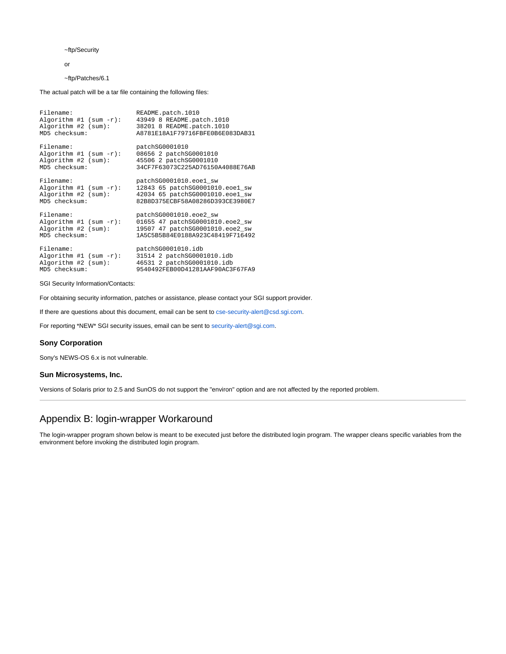~ftp/Security

or

~ftp/Patches/6.1

The actual patch will be a tar file containing the following files:

| Filename:                 | README.patch.1010                |
|---------------------------|----------------------------------|
| Algorithm #1 (sum $-r$ ): | 43949 8 README.patch.1010        |
| Algorithm #2 (sum):       | 38201 8 README.patch.1010        |
| MD5 checksum:             | A8781E18A1F79716FBFE0B6E083DAB31 |
| Filename:                 | patchSG0001010                   |
| Algorithm #1 (sum $-r$ ): | 08656 2 patchSG0001010           |
| Algorithm #2 (sum):       | 45506 2 patchSG0001010           |
| MD5 checksum:             | 34CF7F63073C225AD76150A4088E76AB |
| Filename:                 | patchSG0001010.eoel_sw           |
| Algorithm #1 (sum -r):    | 12843 65 patchSG0001010.eoe1 sw  |
| Algorithm #2 (sum):       | 42034 65 patchSG0001010.eoel_sw  |
| MD5 checksum:             | 82B8D375ECBF58A08286D393CE3980E7 |
| Filename:                 | patchSG0001010.eoe2 sw           |
| Algorithm #1 (sum $-r$ ): | 01655 47 patchSG0001010.eoe2_sw  |
| Algorithm #2 (sum):       | 19507 47 patchSG0001010.eoe2 sw  |
| MD5 checksum:             | 1A5C5B5B84E0188A923C48419F716492 |
| Filename:                 | patchSG0001010.idb               |
| Algorithm #1 (sum -r):    | 31514 2 patchSG0001010.idb       |
| Algorithm #2 (sum):       | 46531 2 patchSG0001010.idb       |
| MD5 checksum:             | 9540492FEB00D41281AAF90AC3F67FA9 |

SGI Security Information/Contacts:

For obtaining security information, patches or assistance, please contact your SGI support provider.

If there are questions about this document, email can be sent to [cse-security-alert@csd.sgi.com.](mailto:cse-security-alert@csd.sgi.com)

For reporting \*NEW\* SGI security issues, email can be sent to [security-alert@sgi.com](mailto:security-alert@sgi.com).

#### **Sony Corporation**

Sony's NEWS-OS 6.x is not vulnerable.

#### **Sun Microsystems, Inc.**

Versions of Solaris prior to 2.5 and SunOS do not support the "environ" option and are not affected by the reported problem.

# Appendix B: login-wrapper Workaround

The login-wrapper program shown below is meant to be executed just before the distributed login program. The wrapper cleans specific variables from the environment before invoking the distributed login program.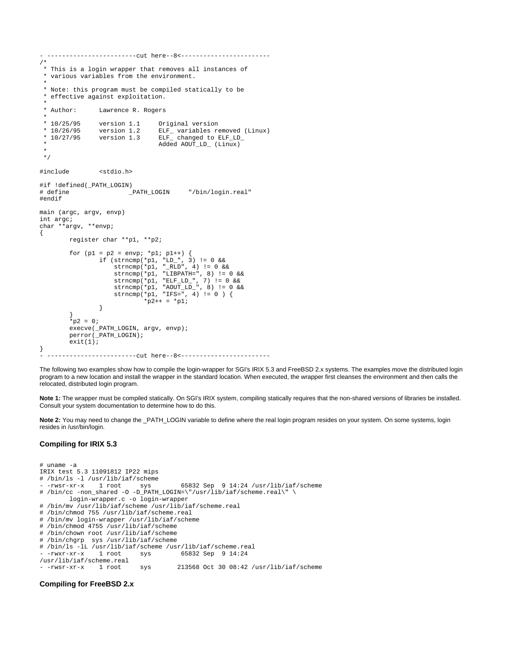```
- ------------------------cut here--8<------------------------
/*
 * This is a login wrapper that removes all instances of
  * various variables from the environment.
 *
  * Note: this program must be compiled statically to be
  * effective against exploitation.
 * Author:
             Lawrence R. Rogers
 *
  * 10/25/95 version 1.1 Original version
 * 10/26/95 version 1.2 ELF_ variables removed (Linux)
 * 10/27/95 version 1.3 ELF_ changed to ELF_LD_
                           Added AOUT_LD_ (Linux)
 *
  */
#include <stdio.h>
#if !defined(_PATH_LOGIN)
                                  "/bin/login.real"
#endif
main (argc, argv, envp)
int argc;
char **argv, **envp;
{
        register char **p1, **p2;
       for (p1 = p2 = envp; *p1; p1++) {
 if (strncmp(*p1, "LD_", 3) != 0 &&
 strncmp(*p1, "_RLD", 4) != 0 &&
 strncmp(*p1, "LIBPATH=", 8) != 0 &&
 strncmp(*p1, "ELF_LD_", 7) != 0 &&
 strncmp(*p1, "AOUT_LD_", 8) != 0 &&
 strncmp(*p1, "IFS=", 4) != 0 ) {
              *_{p2++} = *_{p1}; }
 }
       *_{p2} = 0; execve(_PATH_LOGIN, argv, envp);
        perror(_PATH_LOGIN);
       exit(1);}
  - ------------------------cut here--8<------------------------
```
The following two examples show how to compile the login-wrapper for SGI's IRIX 5.3 and FreeBSD 2.x systems. The examples move the distributed login program to a new location and install the wrapper in the standard location. When executed, the wrapper first cleanses the environment and then calls the relocated, distributed login program.

**Note 1:** The wrapper must be compiled statically. On SGI's IRIX system, compiling statically requires that the non-shared versions of libraries be installed. Consult your system documentation to determine how to do this.

Note 2: You may need to change the \_PATH\_LOGIN variable to define where the real login program resides on your system. On some systems, login resides in /usr/bin/login.

## **Compiling for IRIX 5.3**

# uname -a IRIX test 5.3 11091812 IP22 mips # /bin/ls -l /usr/lib/iaf/scheme  $65832$  Sep 9 14:24 /usr/lib/iaf/scheme # /bin/cc -non\_shared -O -D\_PATH\_LOGIN=\"/usr/lib/iaf/scheme.real\" \ login-wrapper.c -o login-wrapper # /bin/mv /usr/lib/iaf/scheme /usr/lib/iaf/scheme.real # /bin/chmod 755 /usr/lib/iaf/scheme.real # /bin/mv login-wrapper /usr/lib/iaf/scheme # /bin/chmod 4755 /usr/lib/iaf/scheme # /bin/chown root /usr/lib/iaf/scheme # /bin/chgrp sys /usr/lib/iaf/scheme # /bin/ls -lL /usr/lib/iaf/scheme /usr/lib/iaf/scheme.real 65832 Sep 9 14:24 /usr/lib/iaf/scheme.real  $sys$  213568 Oct 30 08:42 /usr/lib/iaf/scheme

## **Compiling for FreeBSD 2.x**